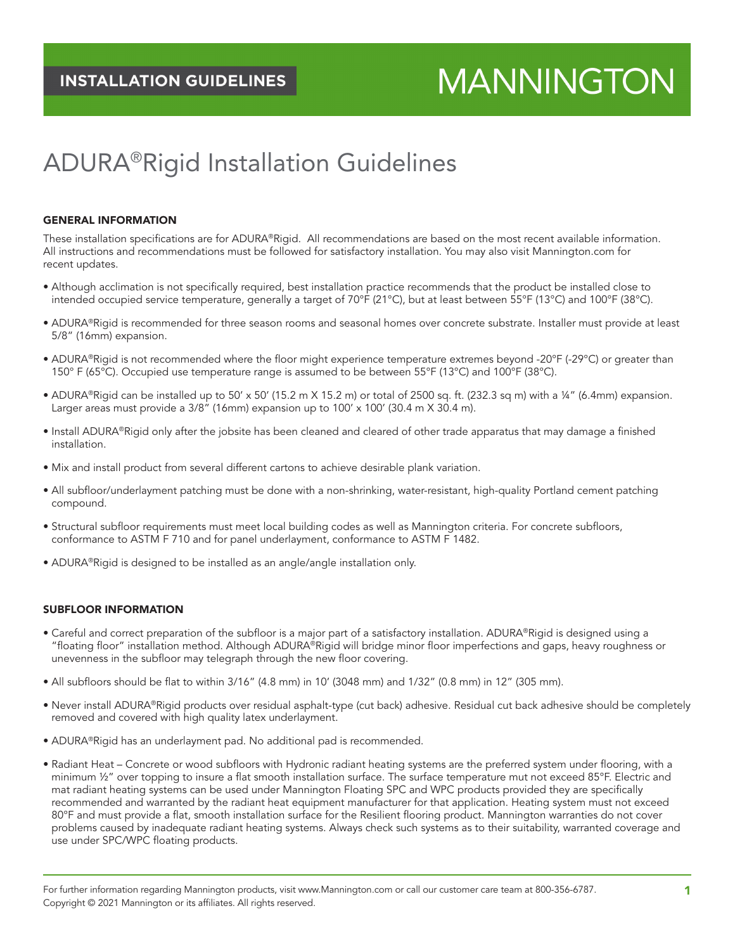# **MANNINGTON**

# ADURA®Rigid Installation Guidelines

#### GENERAL INFORMATION

These installation specifications are for ADURA®Rigid. All recommendations are based on the most recent available information. All instructions and recommendations must be followed for satisfactory installation. You may also visit [Mannington.com](http://www.Mannington.com) for recent updates.

- Although acclimation is not specifically required, best installation practice recommends that the product be installed close to intended occupied service temperature, generally a target of 70°F (21°C), but at least between 55°F (13°C) and 100°F (38°C).
- ADURA®Rigid is recommended for three season rooms and seasonal homes over concrete substrate. Installer must provide at least 5/8" (16mm) expansion.
- ADURA®Rigid is not recommended where the floor might experience temperature extremes beyond -20°F (-29°C) or greater than 150° F (65°C). Occupied use temperature range is assumed to be between 55°F (13°C) and 100°F (38°C).
- ADURA®Rigid can be installed up to 50' x 50' (15.2 m X 15.2 m) or total of 2500 sq. ft. (232.3 sq m) with a ¼" (6.4mm) expansion. Larger areas must provide a  $3/8$ " (16mm) expansion up to  $100'$  x  $100'$  (30.4 m X 30.4 m).
- Install ADURA®Rigid only after the jobsite has been cleaned and cleared of other trade apparatus that may damage a finished installation.
- Mix and install product from several different cartons to achieve desirable plank variation.
- All subfloor/underlayment patching must be done with a non-shrinking, water-resistant, high-quality Portland cement patching compound.
- Structural subfloor requirements must meet local building codes as well as Mannington criteria. For concrete subfloors, conformance to ASTM F 710 and for panel underlayment, conformance to ASTM F 1482.
- ADURA®Rigid is designed to be installed as an angle/angle installation only.

#### SUBFLOOR INFORMATION

- Careful and correct preparation of the subfloor is a major part of a satisfactory installation. ADURA®Rigid is designed using a "floating floor" installation method. Although ADURA®Rigid will bridge minor floor imperfections and gaps, heavy roughness or unevenness in the subfloor may telegraph through the new floor covering.
- All subfloors should be flat to within 3/16" (4.8 mm) in 10' (3048 mm) and 1/32" (0.8 mm) in 12" (305 mm).
- Never install ADURA®Rigid products over residual asphalt-type (cut back) adhesive. Residual cut back adhesive should be completely removed and covered with high quality latex underlayment.
- ADURA®Rigid has an underlayment pad. No additional pad is recommended.
- Radiant Heat Concrete or wood subfloors with Hydronic radiant heating systems are the preferred system under flooring, with a minimum  $\frac{1}{2}$ " over topping to insure a flat smooth installation surface. The surface temperature mut not exceed 85°F. Electric and mat radiant heating systems can be used under Mannington Floating SPC and WPC products provided they are specifically recommended and warranted by the radiant heat equipment manufacturer for that application. Heating system must not exceed 80°F and must provide a flat, smooth installation surface for the Resilient flooring product. Mannington warranties do not cover problems caused by inadequate radiant heating systems. Always check such systems as to their suitability, warranted coverage and use under SPC/WPC floating products.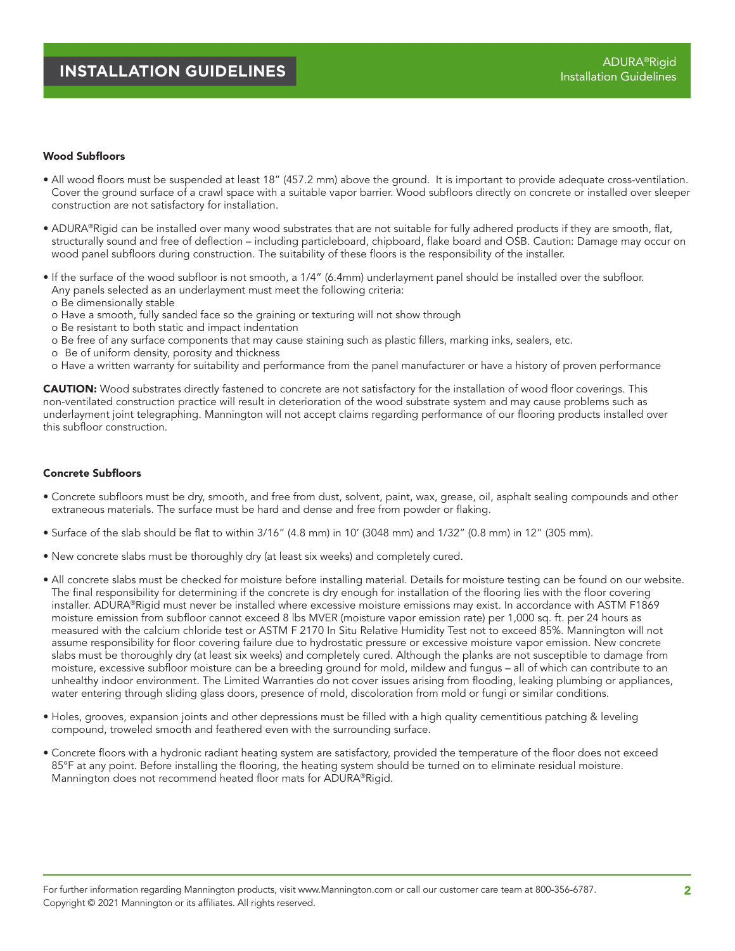#### Wood Subfloors

- All wood floors must be suspended at least 18" (457.2 mm) above the ground. It is important to provide adequate cross-ventilation. Cover the ground surface of a crawl space with a suitable vapor barrier. Wood subfloors directly on concrete or installed over sleeper construction are not satisfactory for installation.
- ADURA®Rigid can be installed over many wood substrates that are not suitable for fully adhered products if they are smooth, flat, structurally sound and free of deflection – including particleboard, chipboard, flake board and OSB. Caution: Damage may occur on wood panel subfloors during construction. The suitability of these floors is the responsibility of the installer.
- If the surface of the wood subfloor is not smooth, a 1/4" (6.4mm) underlayment panel should be installed over the subfloor. Any panels selected as an underlayment must meet the following criteria:
	- o Be dimensionally stable
	- o Have a smooth, fully sanded face so the graining or texturing will not show through
	- o Be resistant to both static and impact indentation
	- o Be free of any surface components that may cause staining such as plastic fillers, marking inks, sealers, etc.
	- o Be of uniform density, porosity and thickness
- o Have a written warranty for suitability and performance from the panel manufacturer or have a history of proven performance

CAUTION: Wood substrates directly fastened to concrete are not satisfactory for the installation of wood floor coverings. This non-ventilated construction practice will result in deterioration of the wood substrate system and may cause problems such as underlayment joint telegraphing. Mannington will not accept claims regarding performance of our flooring products installed over this subfloor construction.

#### Concrete Subfloors

- Concrete subfloors must be dry, smooth, and free from dust, solvent, paint, wax, grease, oil, asphalt sealing compounds and other extraneous materials. The surface must be hard and dense and free from powder or flaking.
- Surface of the slab should be flat to within 3/16" (4.8 mm) in 10' (3048 mm) and 1/32" (0.8 mm) in 12" (305 mm).
- New concrete slabs must be thoroughly dry (at least six weeks) and completely cured.
- All concrete slabs must be checked for moisture before installing material. Details for moisture testing can be found on our website. The final responsibility for determining if the concrete is dry enough for installation of the flooring lies with the floor covering installer. ADURA®Rigid must never be installed where excessive moisture emissions may exist. In accordance with ASTM F1869 moisture emission from subfloor cannot exceed 8 lbs MVER (moisture vapor emission rate) per 1,000 sq. ft. per 24 hours as measured with the calcium chloride test or ASTM F 2170 In Situ Relative Humidity Test not to exceed 85%. Mannington will not assume responsibility for floor covering failure due to hydrostatic pressure or excessive moisture vapor emission. New concrete slabs must be thoroughly dry (at least six weeks) and completely cured. Although the planks are not susceptible to damage from moisture, excessive subfloor moisture can be a breeding ground for mold, mildew and fungus – all of which can contribute to an unhealthy indoor environment. The Limited Warranties do not cover issues arising from flooding, leaking plumbing or appliances, water entering through sliding glass doors, presence of mold, discoloration from mold or fungi or similar conditions.
- Holes, grooves, expansion joints and other depressions must be filled with a high quality cementitious patching & leveling compound, troweled smooth and feathered even with the surrounding surface.
- Concrete floors with a hydronic radiant heating system are satisfactory, provided the temperature of the floor does not exceed 85°F at any point. Before installing the flooring, the heating system should be turned on to eliminate residual moisture. Mannington does not recommend heated floor mats for ADURA®Rigid.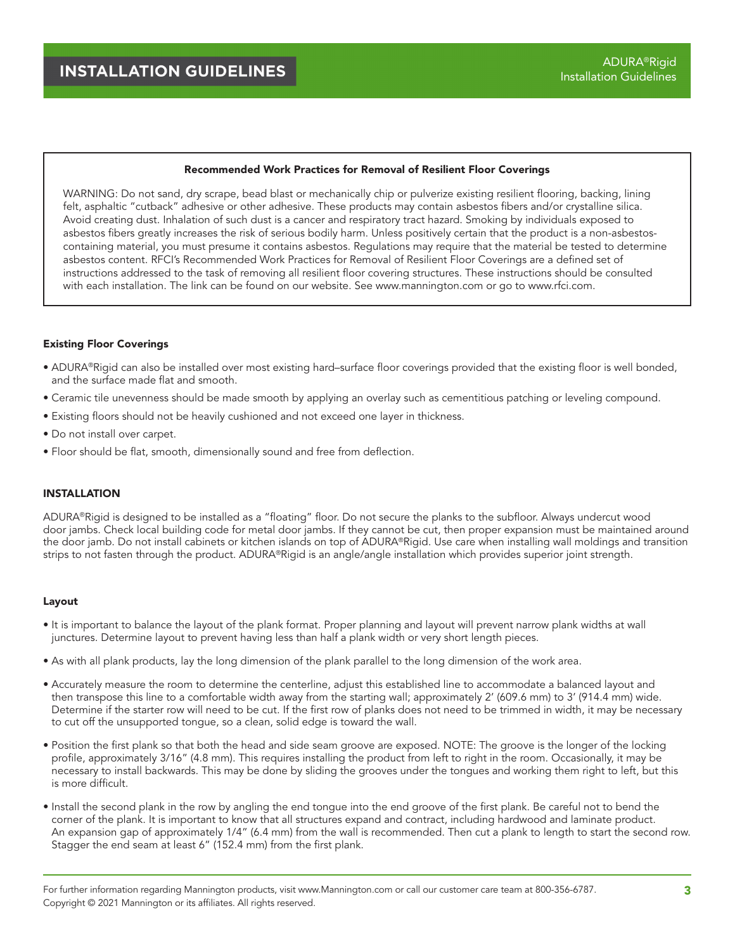#### Recommended Work Practices for Removal of Resilient Floor Coverings

WARNING: Do not sand, dry scrape, bead blast or mechanically chip or pulverize existing resilient flooring, backing, lining felt, asphaltic "cutback" adhesive or other adhesive. These products may contain asbestos fibers and/or crystalline silica. Avoid creating dust. Inhalation of such dust is a cancer and respiratory tract hazard. Smoking by individuals exposed to asbestos fibers greatly increases the risk of serious bodily harm. Unless positively certain that the product is a non-asbestoscontaining material, you must presume it contains asbestos. Regulations may require that the material be tested to determine asbestos content. RFCI's Recommended Work Practices for Removal of Resilient Floor Coverings are a defined set of instructions addressed to the task of removing all resilient floor covering structures. These instructions should be consulted with each installation. The link can be found on our website. See [www.mannington.com](http://www.mannington.com) or go to [www.rfci.com.](http://www.rfci.com)

#### Existing Floor Coverings

- ADURA®Rigid can also be installed over most existing hard–surface floor coverings provided that the existing floor is well bonded, and the surface made flat and smooth.
- Ceramic tile unevenness should be made smooth by applying an overlay such as cementitious patching or leveling compound.
- Existing floors should not be heavily cushioned and not exceed one layer in thickness.
- Do not install over carpet.
- Floor should be flat, smooth, dimensionally sound and free from deflection.

#### INSTALLATION

ADURA®Rigid is designed to be installed as a "floating" floor. Do not secure the planks to the subfloor. Always undercut wood door jambs. Check local building code for metal door jambs. If they cannot be cut, then proper expansion must be maintained around the door jamb. Do not install cabinets or kitchen islands on top of ADURA®Rigid. Use care when installing wall moldings and transition strips to not fasten through the product. ADURA®Rigid is an angle/angle installation which provides superior joint strength.

#### Layout

- It is important to balance the layout of the plank format. Proper planning and layout will prevent narrow plank widths at wall junctures. Determine layout to prevent having less than half a plank width or very short length pieces.
- As with all plank products, lay the long dimension of the plank parallel to the long dimension of the work area.
- Accurately measure the room to determine the centerline, adjust this established line to accommodate a balanced layout and then transpose this line to a comfortable width away from the starting wall; approximately 2' (609.6 mm) to 3' (914.4 mm) wide. Determine if the starter row will need to be cut. If the first row of planks does not need to be trimmed in width, it may be necessary to cut off the unsupported tongue, so a clean, solid edge is toward the wall.
- Position the first plank so that both the head and side seam groove are exposed. NOTE: The groove is the longer of the locking profile, approximately 3/16" (4.8 mm). This requires installing the product from left to right in the room. Occasionally, it may be necessary to install backwards. This may be done by sliding the grooves under the tongues and working them right to left, but this is more difficult.
- Install the second plank in the row by angling the end tongue into the end groove of the first plank. Be careful not to bend the corner of the plank. It is important to know that all structures expand and contract, including hardwood and laminate product. An expansion gap of approximately 1/4" (6.4 mm) from the wall is recommended. Then cut a plank to length to start the second row. Stagger the end seam at least 6" (152.4 mm) from the first plank.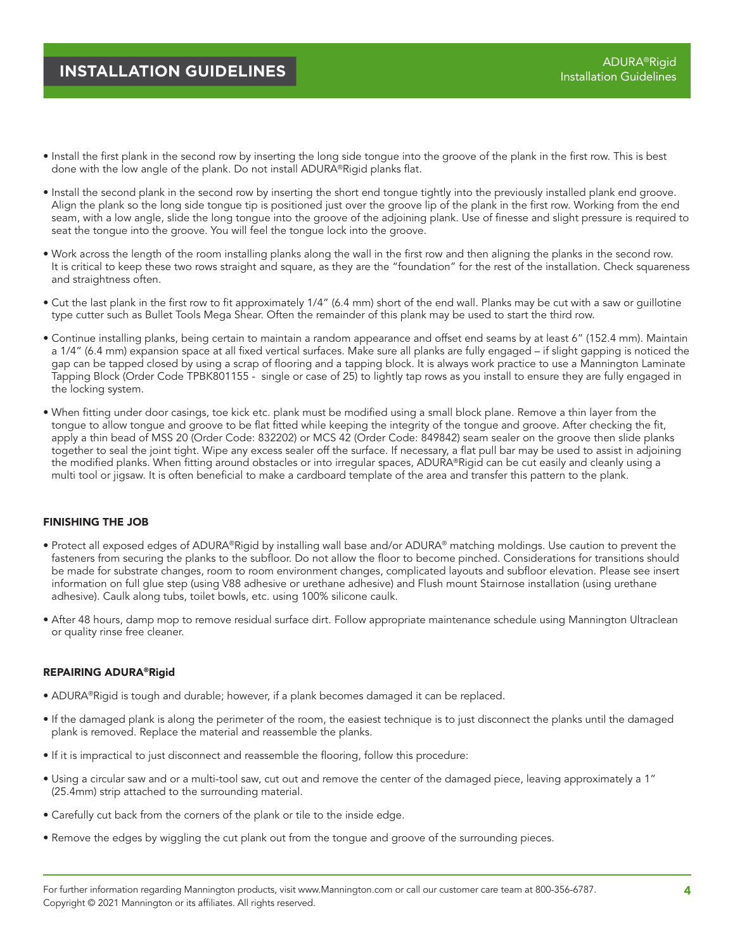### **INSTALLATION GUIDELINES**

- Install the first plank in the second row by inserting the long side tongue into the groove of the plank in the first row. This is best done with the low angle of the plank. Do not install ADURA®Rigid planks flat.
- Install the second plank in the second row by inserting the short end tongue tightly into the previously installed plank end groove. Align the plank so the long side tongue tip is positioned just over the groove lip of the plank in the first row. Working from the end seam, with a low angle, slide the long tongue into the groove of the adjoining plank. Use of finesse and slight pressure is required to seat the tongue into the groove. You will feel the tongue lock into the groove.
- Work across the length of the room installing planks along the wall in the first row and then aligning the planks in the second row. It is critical to keep these two rows straight and square, as they are the "foundation" for the rest of the installation. Check squareness and straightness often.
- Cut the last plank in the first row to fit approximately 1/4" (6.4 mm) short of the end wall. Planks may be cut with a saw or guillotine type cutter such as Bullet Tools Mega Shear. Often the remainder of this plank may be used to start the third row.
- Continue installing planks, being certain to maintain a random appearance and offset end seams by at least 6" (152.4 mm). Maintain a 1/4" (6.4 mm) expansion space at all fixed vertical surfaces. Make sure all planks are fully engaged – if slight gapping is noticed the gap can be tapped closed by using a scrap of flooring and a tapping block. It is always work practice to use a Mannington Laminate Tapping Block (Order Code TPBK801155 - single or case of 25) to lightly tap rows as you install to ensure they are fully engaged in the locking system.
- When fitting under door casings, toe kick etc. plank must be modified using a small block plane. Remove a thin layer from the tongue to allow tongue and groove to be flat fitted while keeping the integrity of the tongue and groove. After checking the fit, apply a thin bead of MSS 20 (Order Code: 832202) or MCS 42 (Order Code: 849842) seam sealer on the groove then slide planks together to seal the joint tight. Wipe any excess sealer off the surface. If necessary, a flat pull bar may be used to assist in adjoining the modified planks. When fitting around obstacles or into irregular spaces, ADURA®Rigid can be cut easily and cleanly using a multi tool or jigsaw. It is often beneficial to make a cardboard template of the area and transfer this pattern to the plank.

#### FINISHING THE JOB

- Protect all exposed edges of ADURA®Rigid by installing wall base and/or ADURA® matching moldings. Use caution to prevent the fasteners from securing the planks to the subfloor. Do not allow the floor to become pinched. Considerations for transitions should be made for substrate changes, room to room environment changes, complicated layouts and subfloor elevation. Please see insert information on full glue step (using V88 adhesive or urethane adhesive) and Flush mount Stairnose installation (using urethane adhesive). Caulk along tubs, toilet bowls, etc. using 100% silicone caulk.
- After 48 hours, damp mop to remove residual surface dirt. Follow appropriate maintenance schedule using Mannington Ultraclean or quality rinse free cleaner.

#### REPAIRING ADURA®Rigid

- ADURA®Rigid is tough and durable; however, if a plank becomes damaged it can be replaced.
- If the damaged plank is along the perimeter of the room, the easiest technique is to just disconnect the planks until the damaged plank is removed. Replace the material and reassemble the planks.
- If it is impractical to just disconnect and reassemble the flooring, follow this procedure:
- Using a circular saw and or a multi-tool saw, cut out and remove the center of the damaged piece, leaving approximately a 1" (25.4mm) strip attached to the surrounding material.
- Carefully cut back from the corners of the plank or tile to the inside edge.
- Remove the edges by wiggling the cut plank out from the tongue and groove of the surrounding pieces.